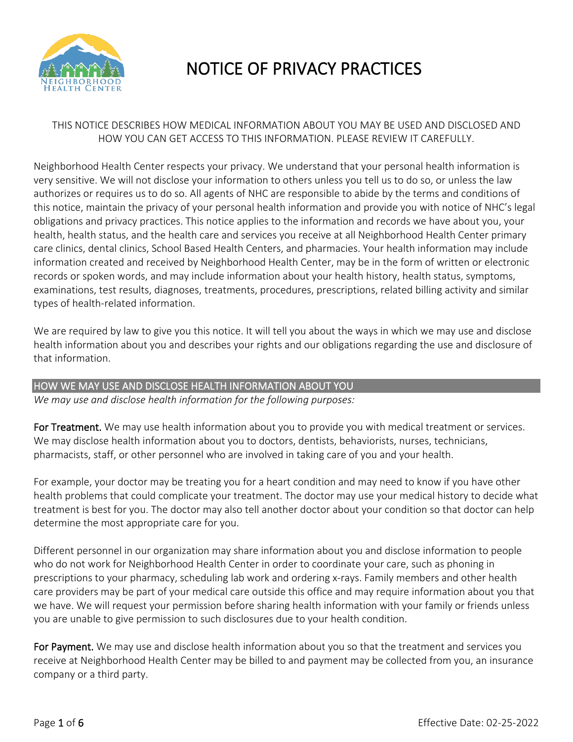

# NOTICE OF PRIVACY PRACTICES

## THIS NOTICE DESCRIBES HOW MEDICAL INFORMATION ABOUT YOU MAY BE USED AND DISCLOSED AND HOW YOU CAN GET ACCESS TO THIS INFORMATION. PLEASE REVIEW IT CAREFULLY.

Neighborhood Health Center respects your privacy. We understand that your personal health information is very sensitive. We will not disclose your information to others unless you tell us to do so, or unless the law authorizes or requires us to do so. All agents of NHC are responsible to abide by the terms and conditions of this notice, maintain the privacy of your personal health information and provide you with notice of NHC's legal obligations and privacy practices. This notice applies to the information and records we have about you, your health, health status, and the health care and services you receive at all Neighborhood Health Center primary care clinics, dental clinics, School Based Health Centers, and pharmacies. Your health information may include information created and received by Neighborhood Health Center, may be in the form of written or electronic records or spoken words, and may include information about your health history, health status, symptoms, examinations, test results, diagnoses, treatments, procedures, prescriptions, related billing activity and similar types of health-related information.

We are required by law to give you this notice. It will tell you about the ways in which we may use and disclose health information about you and describes your rights and our obligations regarding the use and disclosure of that information.

#### HOW WE MAY USE AND DISCLOSE HEALTH INFORMATION ABOUT YOU

*We may use and disclose health information for the following purposes:*

For Treatment. We may use health information about you to provide you with medical treatment or services. We may disclose health information about you to doctors, dentists, behaviorists, nurses, technicians, pharmacists, staff, or other personnel who are involved in taking care of you and your health.

For example, your doctor may be treating you for a heart condition and may need to know if you have other health problems that could complicate your treatment. The doctor may use your medical history to decide what treatment is best for you. The doctor may also tell another doctor about your condition so that doctor can help determine the most appropriate care for you.

Different personnel in our organization may share information about you and disclose information to people who do not work for Neighborhood Health Center in order to coordinate your care, such as phoning in prescriptions to your pharmacy, scheduling lab work and ordering x-rays. Family members and other health care providers may be part of your medical care outside this office and may require information about you that we have. We will request your permission before sharing health information with your family or friends unless you are unable to give permission to such disclosures due to your health condition.

For Payment. We may use and disclose health information about you so that the treatment and services you receive at Neighborhood Health Center may be billed to and payment may be collected from you, an insurance company or a third party.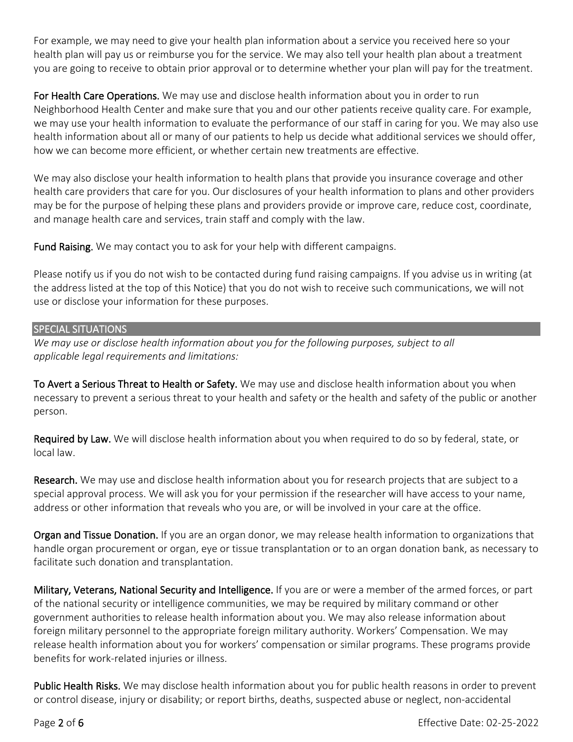For example, we may need to give your health plan information about a service you received here so your health plan will pay us or reimburse you for the service. We may also tell your health plan about a treatment you are going to receive to obtain prior approval or to determine whether your plan will pay for the treatment.

For Health Care Operations. We may use and disclose health information about you in order to run Neighborhood Health Center and make sure that you and our other patients receive quality care. For example, we may use your health information to evaluate the performance of our staff in caring for you. We may also use health information about all or many of our patients to help us decide what additional services we should offer, how we can become more efficient, or whether certain new treatments are effective.

We may also disclose your health information to health plans that provide you insurance coverage and other health care providers that care for you. Our disclosures of your health information to plans and other providers may be for the purpose of helping these plans and providers provide or improve care, reduce cost, coordinate, and manage health care and services, train staff and comply with the law.

Fund Raising. We may contact you to ask for your help with different campaigns.

Please notify us if you do not wish to be contacted during fund raising campaigns. If you advise us in writing (at the address listed at the top of this Notice) that you do not wish to receive such communications, we will not use or disclose your information for these purposes.

#### SPECIAL SITUATIONS

*We may use or disclose health information about you for the following purposes, subject to all applicable legal requirements and limitations:*

To Avert a Serious Threat to Health or Safety. We may use and disclose health information about you when necessary to prevent a serious threat to your health and safety or the health and safety of the public or another person.

Required by Law. We will disclose health information about you when required to do so by federal, state, or local law.

Research. We may use and disclose health information about you for research projects that are subject to a special approval process. We will ask you for your permission if the researcher will have access to your name, address or other information that reveals who you are, or will be involved in your care at the office.

Organ and Tissue Donation. If you are an organ donor, we may release health information to organizations that handle organ procurement or organ, eye or tissue transplantation or to an organ donation bank, as necessary to facilitate such donation and transplantation.

Military, Veterans, National Security and Intelligence. If you are or were a member of the armed forces, or part of the national security or intelligence communities, we may be required by military command or other government authorities to release health information about you. We may also release information about foreign military personnel to the appropriate foreign military authority. Workers' Compensation. We may release health information about you for workers' compensation or similar programs. These programs provide benefits for work-related injuries or illness.

Public Health Risks. We may disclose health information about you for public health reasons in order to prevent or control disease, injury or disability; or report births, deaths, suspected abuse or neglect, non-accidental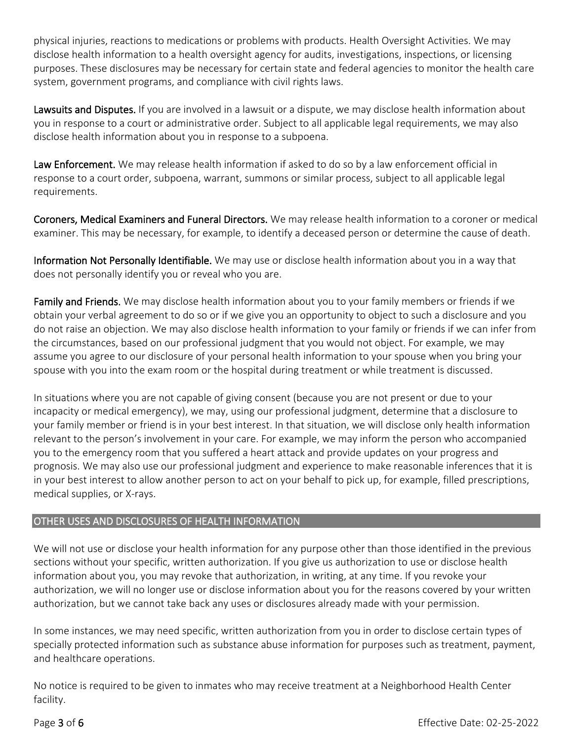physical injuries, reactions to medications or problems with products. Health Oversight Activities. We may disclose health information to a health oversight agency for audits, investigations, inspections, or licensing purposes. These disclosures may be necessary for certain state and federal agencies to monitor the health care system, government programs, and compliance with civil rights laws.

Lawsuits and Disputes. If you are involved in a lawsuit or a dispute, we may disclose health information about you in response to a court or administrative order. Subject to all applicable legal requirements, we may also disclose health information about you in response to a subpoena.

Law Enforcement. We may release health information if asked to do so by a law enforcement official in response to a court order, subpoena, warrant, summons or similar process, subject to all applicable legal requirements.

Coroners, Medical Examiners and Funeral Directors. We may release health information to a coroner or medical examiner. This may be necessary, for example, to identify a deceased person or determine the cause of death.

Information Not Personally Identifiable. We may use or disclose health information about you in a way that does not personally identify you or reveal who you are.

Family and Friends. We may disclose health information about you to your family members or friends if we obtain your verbal agreement to do so or if we give you an opportunity to object to such a disclosure and you do not raise an objection. We may also disclose health information to your family or friends if we can infer from the circumstances, based on our professional judgment that you would not object. For example, we may assume you agree to our disclosure of your personal health information to your spouse when you bring your spouse with you into the exam room or the hospital during treatment or while treatment is discussed.

In situations where you are not capable of giving consent (because you are not present or due to your incapacity or medical emergency), we may, using our professional judgment, determine that a disclosure to your family member or friend is in your best interest. In that situation, we will disclose only health information relevant to the person's involvement in your care. For example, we may inform the person who accompanied you to the emergency room that you suffered a heart attack and provide updates on your progress and prognosis. We may also use our professional judgment and experience to make reasonable inferences that it is in your best interest to allow another person to act on your behalf to pick up, for example, filled prescriptions, medical supplies, or X-rays.

## OTHER USES AND DISCLOSURES OF HEALTH INFORMATION

We will not use or disclose your health information for any purpose other than those identified in the previous sections without your specific, written authorization. If you give us authorization to use or disclose health information about you, you may revoke that authorization, in writing, at any time. If you revoke your authorization, we will no longer use or disclose information about you for the reasons covered by your written authorization, but we cannot take back any uses or disclosures already made with your permission.

In some instances, we may need specific, written authorization from you in order to disclose certain types of specially protected information such as substance abuse information for purposes such as treatment, payment, and healthcare operations.

No notice is required to be given to inmates who may receive treatment at a Neighborhood Health Center facility.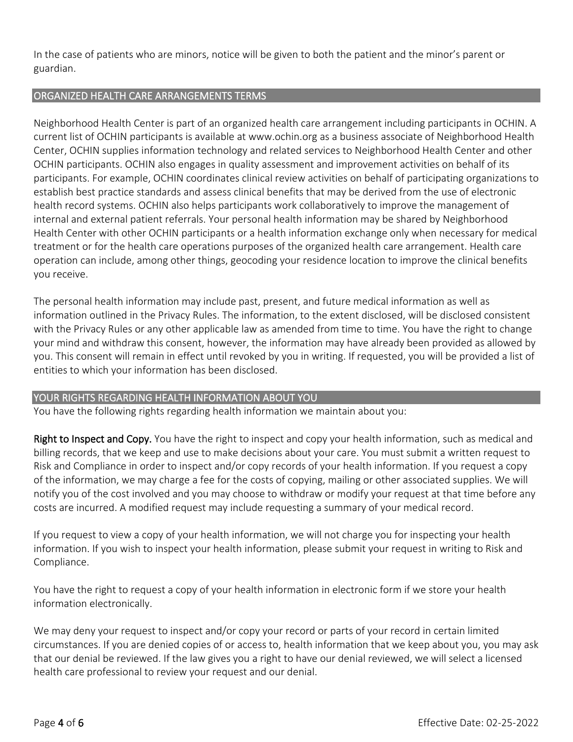In the case of patients who are minors, notice will be given to both the patient and the minor's parent or guardian.

## ORGANIZED HEALTH CARE ARRANGEMENTS TERMS

Neighborhood Health Center is part of an organized health care arrangement including participants in OCHIN. A current list of OCHIN participants is available at www.ochin.org as a business associate of Neighborhood Health Center, OCHIN supplies information technology and related services to Neighborhood Health Center and other OCHIN participants. OCHIN also engages in quality assessment and improvement activities on behalf of its participants. For example, OCHIN coordinates clinical review activities on behalf of participating organizations to establish best practice standards and assess clinical benefits that may be derived from the use of electronic health record systems. OCHIN also helps participants work collaboratively to improve the management of internal and external patient referrals. Your personal health information may be shared by Neighborhood Health Center with other OCHIN participants or a health information exchange only when necessary for medical treatment or for the health care operations purposes of the organized health care arrangement. Health care operation can include, among other things, geocoding your residence location to improve the clinical benefits you receive.

The personal health information may include past, present, and future medical information as well as information outlined in the Privacy Rules. The information, to the extent disclosed, will be disclosed consistent with the Privacy Rules or any other applicable law as amended from time to time. You have the right to change your mind and withdraw this consent, however, the information may have already been provided as allowed by you. This consent will remain in effect until revoked by you in writing. If requested, you will be provided a list of entities to which your information has been disclosed.

## YOUR RIGHTS REGARDING HEALTH INFORMATION ABOUT YOU

You have the following rights regarding health information we maintain about you:

Right to Inspect and Copy. You have the right to inspect and copy your health information, such as medical and billing records, that we keep and use to make decisions about your care. You must submit a written request to Risk and Compliance in order to inspect and/or copy records of your health information. If you request a copy of the information, we may charge a fee for the costs of copying, mailing or other associated supplies. We will notify you of the cost involved and you may choose to withdraw or modify your request at that time before any costs are incurred. A modified request may include requesting a summary of your medical record.

If you request to view a copy of your health information, we will not charge you for inspecting your health information. If you wish to inspect your health information, please submit your request in writing to Risk and Compliance.

You have the right to request a copy of your health information in electronic form if we store your health information electronically.

We may deny your request to inspect and/or copy your record or parts of your record in certain limited circumstances. If you are denied copies of or access to, health information that we keep about you, you may ask that our denial be reviewed. If the law gives you a right to have our denial reviewed, we will select a licensed health care professional to review your request and our denial.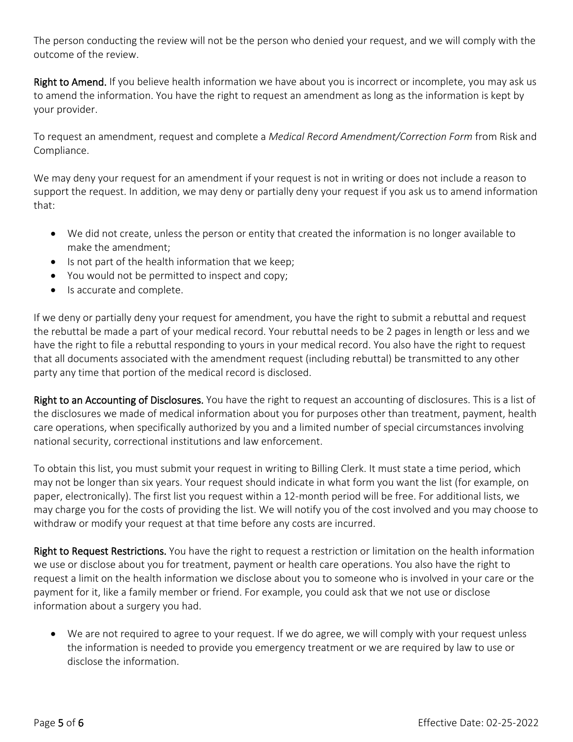The person conducting the review will not be the person who denied your request, and we will comply with the outcome of the review.

Right to Amend. If you believe health information we have about you is incorrect or incomplete, you may ask us to amend the information. You have the right to request an amendment as long as the information is kept by your provider.

To request an amendment, request and complete a *Medical Record Amendment/Correction Form* from Risk and Compliance.

We may deny your request for an amendment if your request is not in writing or does not include a reason to support the request. In addition, we may deny or partially deny your request if you ask us to amend information that:

- We did not create, unless the person or entity that created the information is no longer available to make the amendment;
- Is not part of the health information that we keep;
- You would not be permitted to inspect and copy;
- Is accurate and complete.

If we deny or partially deny your request for amendment, you have the right to submit a rebuttal and request the rebuttal be made a part of your medical record. Your rebuttal needs to be 2 pages in length or less and we have the right to file a rebuttal responding to yours in your medical record. You also have the right to request that all documents associated with the amendment request (including rebuttal) be transmitted to any other party any time that portion of the medical record is disclosed.

Right to an Accounting of Disclosures. You have the right to request an accounting of disclosures. This is a list of the disclosures we made of medical information about you for purposes other than treatment, payment, health care operations, when specifically authorized by you and a limited number of special circumstances involving national security, correctional institutions and law enforcement.

To obtain this list, you must submit your request in writing to Billing Clerk. It must state a time period, which may not be longer than six years. Your request should indicate in what form you want the list (for example, on paper, electronically). The first list you request within a 12-month period will be free. For additional lists, we may charge you for the costs of providing the list. We will notify you of the cost involved and you may choose to withdraw or modify your request at that time before any costs are incurred.

Right to Request Restrictions. You have the right to request a restriction or limitation on the health information we use or disclose about you for treatment, payment or health care operations. You also have the right to request a limit on the health information we disclose about you to someone who is involved in your care or the payment for it, like a family member or friend. For example, you could ask that we not use or disclose information about a surgery you had.

• We are not required to agree to your request. If we do agree, we will comply with your request unless the information is needed to provide you emergency treatment or we are required by law to use or disclose the information.